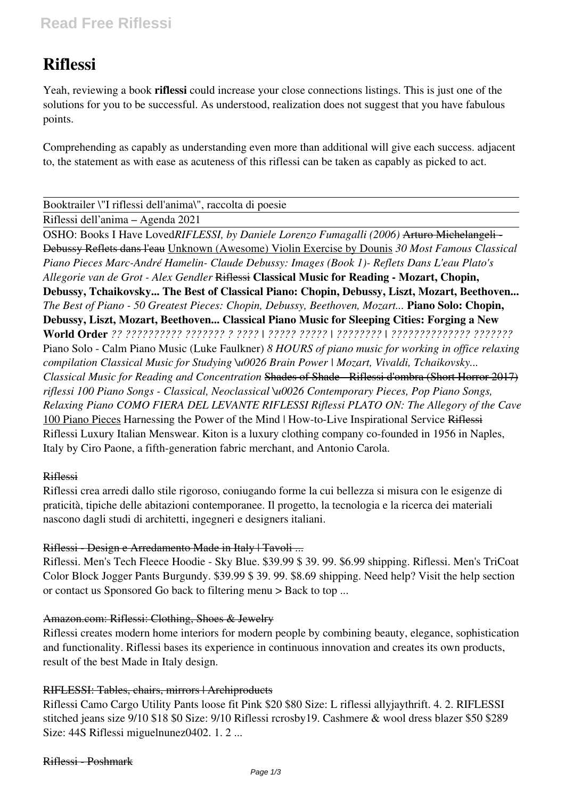# **Riflessi**

Yeah, reviewing a book **riflessi** could increase your close connections listings. This is just one of the solutions for you to be successful. As understood, realization does not suggest that you have fabulous points.

Comprehending as capably as understanding even more than additional will give each success. adjacent to, the statement as with ease as acuteness of this riflessi can be taken as capably as picked to act.

Booktrailer \"I riflessi dell'anima\", raccolta di poesie

Riflessi dell'anima – Agenda 2021

OSHO: Books I Have Loved*RIFLESSI, by Daniele Lorenzo Fumagalli (2006)* Arturo Michelangeli - Debussy Reflets dans l'eau Unknown (Awesome) Violin Exercise by Dounis *30 Most Famous Classical Piano Pieces Marc-André Hamelin- Claude Debussy: Images (Book 1)- Reflets Dans L'eau Plato's Allegorie van de Grot - Alex Gendler* Riflessi **Classical Music for Reading - Mozart, Chopin, Debussy, Tchaikovsky... The Best of Classical Piano: Chopin, Debussy, Liszt, Mozart, Beethoven...** *The Best of Piano - 50 Greatest Pieces: Chopin, Debussy, Beethoven, Mozart...* **Piano Solo: Chopin, Debussy, Liszt, Mozart, Beethoven... Classical Piano Music for Sleeping Cities: Forging a New World Order** *?? ?????????? ??????? ? ???? | ????? ????? | ???????? | ?????????????? ???????* Piano Solo - Calm Piano Music (Luke Faulkner) *8 HOURS of piano music for working in office relaxing compilation Classical Music for Studying \u0026 Brain Power | Mozart, Vivaldi, Tchaikovsky... Classical Music for Reading and Concentration* Shades of Shade - Riflessi d'ombra (Short Horror 2017) *riflessi 100 Piano Songs - Classical, Neoclassical \u0026 Contemporary Pieces, Pop Piano Songs, Relaxing Piano COMO FIERA DEL LEVANTE RIFLESSI Riflessi PLATO ON: The Allegory of the Cave* 100 Piano Pieces Harnessing the Power of the Mind | How-to-Live Inspirational Service Riflessi Riflessi Luxury Italian Menswear. Kiton is a luxury clothing company co-founded in 1956 in Naples, Italy by Ciro Paone, a fifth-generation fabric merchant, and Antonio Carola.

# Riflessi

Riflessi crea arredi dallo stile rigoroso, coniugando forme la cui bellezza si misura con le esigenze di praticità, tipiche delle abitazioni contemporanee. Il progetto, la tecnologia e la ricerca dei materiali nascono dagli studi di architetti, ingegneri e designers italiani.

# Riflessi - Design e Arredamento Made in Italy | Tavoli ...

Riflessi. Men's Tech Fleece Hoodie - Sky Blue. \$39.99 \$ 39. 99. \$6.99 shipping. Riflessi. Men's TriCoat Color Block Jogger Pants Burgundy. \$39.99 \$ 39. 99. \$8.69 shipping. Need help? Visit the help section or contact us Sponsored Go back to filtering menu > Back to top ...

# Amazon.com: Riflessi: Clothing, Shoes & Jewelry

Riflessi creates modern home interiors for modern people by combining beauty, elegance, sophistication and functionality. Riflessi bases its experience in continuous innovation and creates its own products, result of the best Made in Italy design.

# RIFLESSI: Tables, chairs, mirrors | Archiproducts

Riflessi Camo Cargo Utility Pants loose fit Pink \$20 \$80 Size: L riflessi allyjaythrift. 4. 2. RIFLESSI stitched jeans size 9/10 \$18 \$0 Size: 9/10 Riflessi rcrosby19. Cashmere & wool dress blazer \$50 \$289 Size: 44S Riflessi miguelnunez0402. 1. 2 ...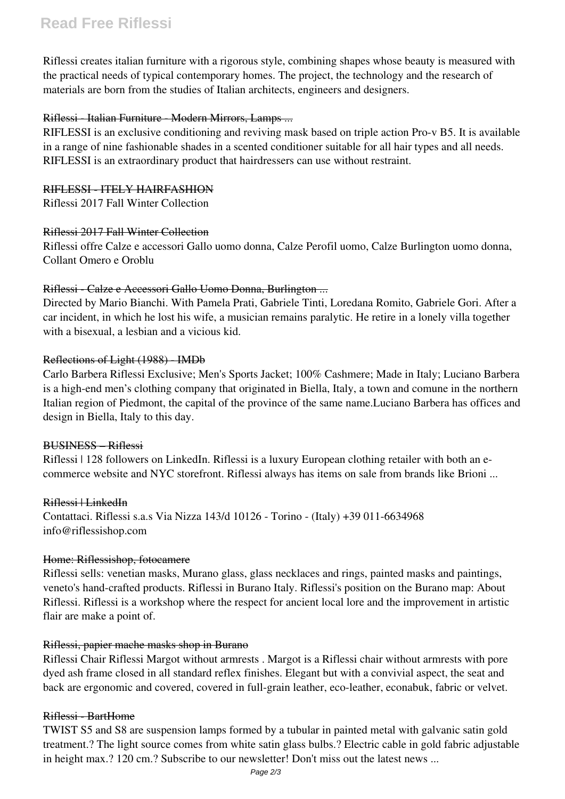Riflessi creates italian furniture with a rigorous style, combining shapes whose beauty is measured with the practical needs of typical contemporary homes. The project, the technology and the research of materials are born from the studies of Italian architects, engineers and designers.

# Riflessi - Italian Furniture - Modern Mirrors, Lamps ...

RIFLESSI is an exclusive conditioning and reviving mask based on triple action Pro-v B5. It is available in a range of nine fashionable shades in a scented conditioner suitable for all hair types and all needs. RIFLESSI is an extraordinary product that hairdressers can use without restraint.

RIFLESSI - ITELY HAIRFASHION Riflessi 2017 Fall Winter Collection

## Riflessi 2017 Fall Winter Collection

Riflessi offre Calze e accessori Gallo uomo donna, Calze Perofil uomo, Calze Burlington uomo donna, Collant Omero e Oroblu

## Riflessi - Calze e Accessori Gallo Uomo Donna, Burlington ...

Directed by Mario Bianchi. With Pamela Prati, Gabriele Tinti, Loredana Romito, Gabriele Gori. After a car incident, in which he lost his wife, a musician remains paralytic. He retire in a lonely villa together with a bisexual, a lesbian and a vicious kid.

## Reflections of Light (1988) - IMDb

Carlo Barbera Riflessi Exclusive; Men's Sports Jacket; 100% Cashmere; Made in Italy; Luciano Barbera is a high-end men's clothing company that originated in Biella, Italy, a town and comune in the northern Italian region of Piedmont, the capital of the province of the same name.Luciano Barbera has offices and design in Biella, Italy to this day.

#### BUSINESS – Riflessi

Riflessi | 128 followers on LinkedIn. Riflessi is a luxury European clothing retailer with both an ecommerce website and NYC storefront. Riflessi always has items on sale from brands like Brioni ...

#### Riflessi | LinkedIn

Contattaci. Riflessi s.a.s Via Nizza 143/d 10126 - Torino - (Italy) +39 011-6634968 info@riflessishop.com

#### Home: Riflessishop, fotocamere

Riflessi sells: venetian masks, Murano glass, glass necklaces and rings, painted masks and paintings, veneto's hand-crafted products. Riflessi in Burano Italy. Riflessi's position on the Burano map: About Riflessi. Riflessi is a workshop where the respect for ancient local lore and the improvement in artistic flair are make a point of.

#### Riflessi, papier mache masks shop in Burano

Riflessi Chair Riflessi Margot without armrests . Margot is a Riflessi chair without armrests with pore dyed ash frame closed in all standard reflex finishes. Elegant but with a convivial aspect, the seat and back are ergonomic and covered, covered in full-grain leather, eco-leather, econabuk, fabric or velvet.

# Riflessi - BartHome

TWIST S5 and S8 are suspension lamps formed by a tubular in painted metal with galvanic satin gold treatment.? The light source comes from white satin glass bulbs.? Electric cable in gold fabric adjustable in height max.? 120 cm.? Subscribe to our newsletter! Don't miss out the latest news ...